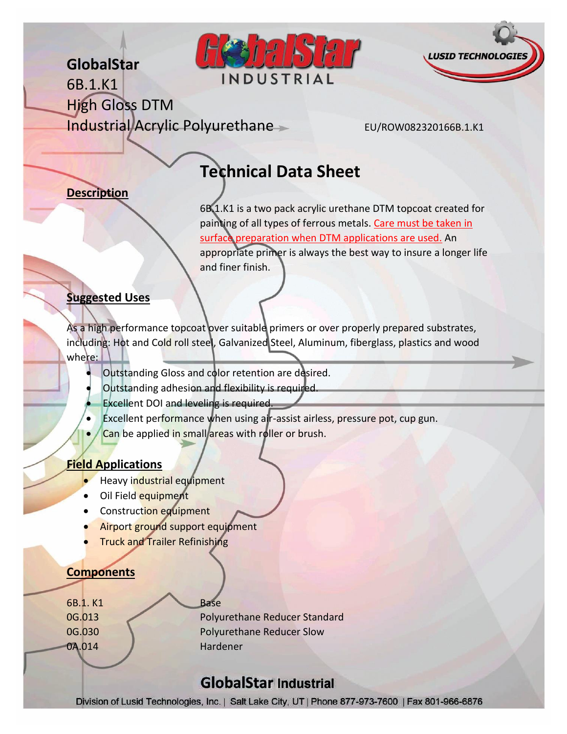## **GlobalStar**





6B.1.K1 High Gloss DTM Industrial Acrylic Polyurethane EU/ROW082320166B.1.K1

# **Technical Data Sheet**

#### **Description**

6B.1.K1 is a two pack acrylic urethane DTM topcoat created for painting of all types of ferrous metals. Care must be taken in surface preparation when DTM applications are used. An appropriate primer is always the best way to insure a longer life and finer finish.

#### **Suggested Uses**

As a high performance topcoat over suitable primers or over properly prepared substrates, including: Hot and Cold roll steel, Galvanized Steel, Aluminum, fiberglass, plastics and wood where:

- Outstanding Gloss and color retention are desired.
- Outstanding adhesion and flexibility is required.
- Excellent DOI and leveling is required.
- Excellent performance when using air-assist airless, pressure pot, cup gun.
- Can be applied in small areas with roller or brush.

#### **Field Applications**

- **Heavy industrial equipment**
- Oil Field equipment
- Construction equipment
- **Airport ground support equipment**
- Truck and Trailer Refinishing

#### **Components**

6B.1. K1 Base

0G.013 Polyurethane Reducer Standard 0G.030 Polyurethane Reducer Slow 0A.014 Hardener

## **GlobalStar Industrial**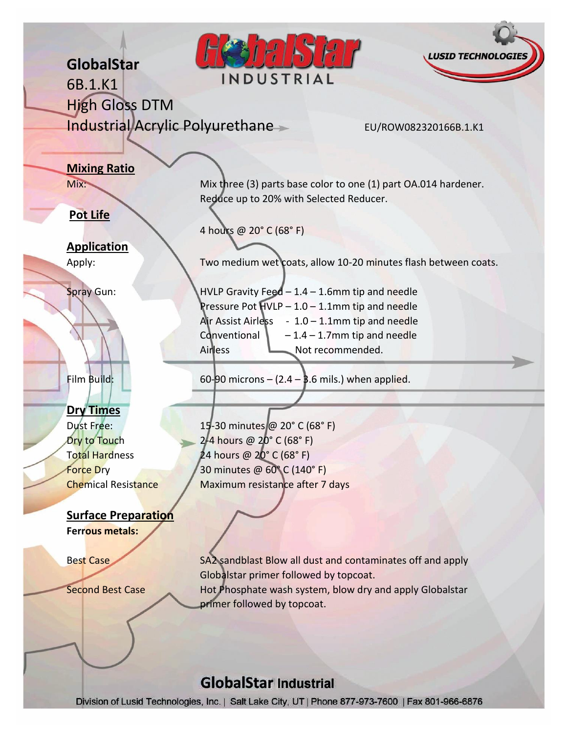## **HIRT LUSID TECHNOL GlobalStar** INDUSTRIAL 6B.1.K1 High Gloss DTM Industrial Acrylic Polyurethane EU/ROW082320166B.1.K1 **Mixing Ratio** Mix: Mix: Mix three (3) parts base color to one (1) part OA.014 hardener. Reduce up to 20% with Selected Reducer. **Pot Life** 4 hours @ 20° C (68° F) **Application** Apply: Two medium wet coats, allow 10-20 minutes flash between coats. Spray Gun: HVLP Gravity Feed – 1.4 – 1.6mm tip and needle Pressure Pot HVLP – 1.0 – 1.1mm tip and needle Air Assist Airless  $-1.0 - 1.1$ mm tip and needle Conventional  $\vert$  – 1.4 – 1.7mm tip and needle Airless Not recommended. Film Build:  $60-90$  microns  $- (2.4 - 3.6$  mils.) when applied. **Dry Times** Dust Free: 15-30 minutes @ 20° C (68° F)  $\frac{1}{2}$  Dry to Touch 2-4 hours @ 20° C (68° F) Total Hardness 24 hours @ 20° C (68° F) Force Dry 20 minutes @ 60°C (140°F) Chemical Resistance Maximum resistance after 7 days **Surface Preparation Ferrous metals:** Best Case SA2 sandblast Blow all dust and contaminates off and apply Globalstar primer followed by topcoat. Second Best Case Hot Phosphate wash system, blow dry and apply Globalstar primer followed by topcoat.**GlobalStar Industrial**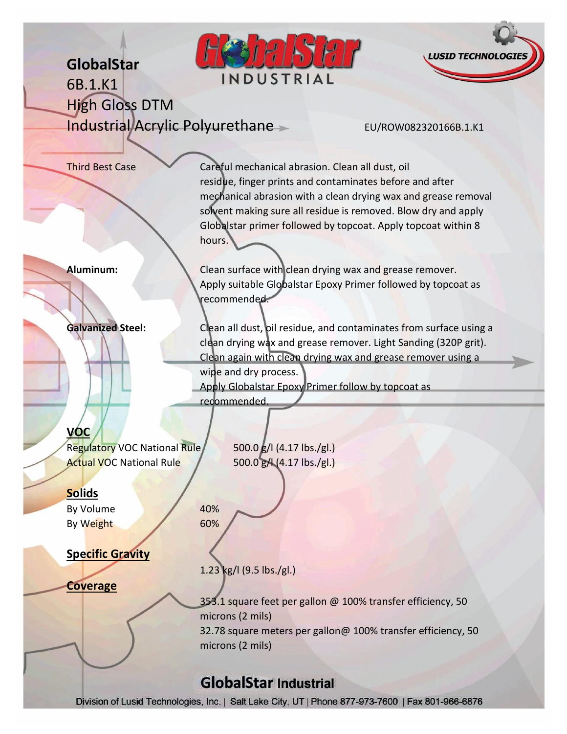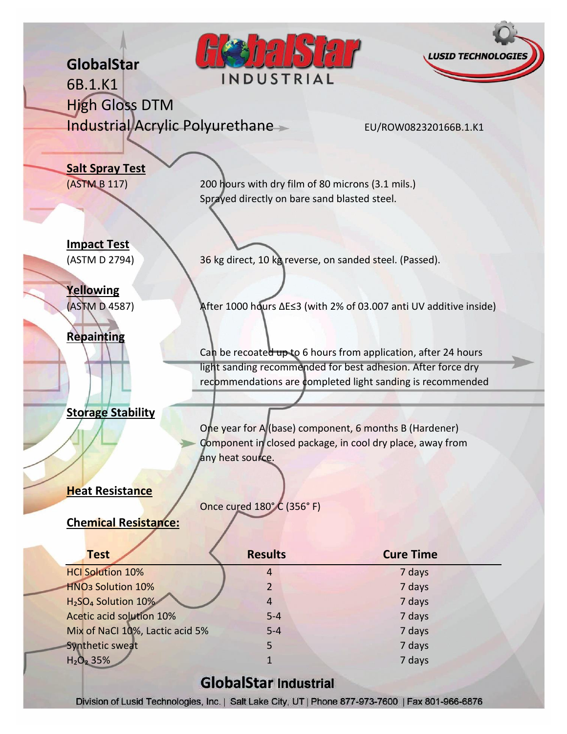| GlobalStar                                         | INDUSTRIAL                                                                                                          | <b>LUSID TECHNOLOGIES</b>                                      |  |
|----------------------------------------------------|---------------------------------------------------------------------------------------------------------------------|----------------------------------------------------------------|--|
| 6B.1.K1                                            |                                                                                                                     |                                                                |  |
| <b>High Gloss DTM</b>                              |                                                                                                                     |                                                                |  |
| Industrial/Acrylic Polyurethane                    |                                                                                                                     | EU/ROW082320166B.1.K1                                          |  |
|                                                    |                                                                                                                     |                                                                |  |
| <b>Salt Spray Test</b>                             |                                                                                                                     |                                                                |  |
| (ASTM B 117)                                       | 200 hours with dry film of 80 microns (3.1 mils.)                                                                   |                                                                |  |
|                                                    | Sprayed directly on bare sand blasted steel.                                                                        |                                                                |  |
|                                                    |                                                                                                                     |                                                                |  |
|                                                    |                                                                                                                     |                                                                |  |
| <b>Impact Test</b>                                 |                                                                                                                     |                                                                |  |
| (ASTM D 2794)                                      | 36 kg direct, 10 kg reverse, on sanded steel. (Passed).                                                             |                                                                |  |
|                                                    |                                                                                                                     |                                                                |  |
| Yellowing<br>(ASTM D 4587)                         |                                                                                                                     |                                                                |  |
|                                                    | After 1000 hours ∆E≤3 (with 2% of 03.007 anti UV additive inside)                                                   |                                                                |  |
| <b>Repainting</b>                                  |                                                                                                                     |                                                                |  |
|                                                    |                                                                                                                     | Can be recoated up to 6 hours from application, after 24 hours |  |
|                                                    | light sanding recommended for best adhesion. After force dry                                                        |                                                                |  |
|                                                    | recommendations are completed light sanding is recommended                                                          |                                                                |  |
|                                                    |                                                                                                                     |                                                                |  |
| <b>Storage Stability</b>                           |                                                                                                                     |                                                                |  |
|                                                    | One year for A (base) component, 6 months B (Hardener)<br>Component in closed package, in cool dry place, away from |                                                                |  |
|                                                    | any heat source.                                                                                                    |                                                                |  |
|                                                    |                                                                                                                     |                                                                |  |
| <b>Heat Resistance</b>                             |                                                                                                                     |                                                                |  |
|                                                    | Once cured 180°C (356°F)                                                                                            |                                                                |  |
| <b>Chemical Resistance:</b>                        |                                                                                                                     |                                                                |  |
|                                                    |                                                                                                                     |                                                                |  |
| <b>Test</b>                                        | <b>Results</b>                                                                                                      | <b>Cure Time</b>                                               |  |
| <b>HCI Solution 10%</b>                            | 4                                                                                                                   | 7 days                                                         |  |
| <b>HNO<sub>3</sub></b> Solution 10%                | 2                                                                                                                   | 7 days                                                         |  |
| H <sub>2</sub> SO <sub>4</sub> Solution 10%        | 4                                                                                                                   | 7 days                                                         |  |
| Acetic acid solution 10%                           | $5 - 4$                                                                                                             | 7 days                                                         |  |
| Mix of NaCl 10%, Lactic acid 5%<br>Synthetic sweat | $5-4$<br>5                                                                                                          | 7 days<br>7 days                                               |  |
| $H_2O_2$ 35%                                       | 1                                                                                                                   | 7 days                                                         |  |
|                                                    |                                                                                                                     |                                                                |  |
|                                                    | <b>GlobalStar Industrial</b>                                                                                        |                                                                |  |